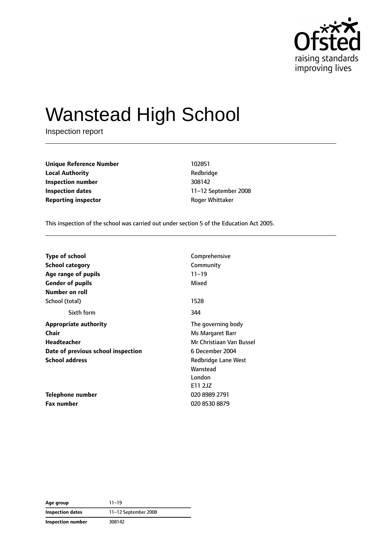

# Wanstead High School

Inspection report

**Unique Reference Number** 102851 **Local Authority Contract Contract Authority Redbridge Inspection number** 308142 **Inspection dates** 11–12 September 2008 **Reporting inspector Reporting inspector Reporting** *inspector* **Reporting** *inspector* **Reporting** *inspector n* 

This inspection of the school was carried out under section 5 of the Education Act 2005.

| <b>Type of school</b>              | Comprehensive            |
|------------------------------------|--------------------------|
| <b>School category</b>             | Community                |
| Age range of pupils                | $11 - 19$                |
| <b>Gender of pupils</b>            | Mixed                    |
| Number on roll                     |                          |
| School (total)                     | 1528                     |
| Sixth form                         | 344                      |
| <b>Appropriate authority</b>       | The governing body       |
| <b>Chair</b>                       | Ms Margaret Barr         |
| <b>Headteacher</b>                 | Mr Christiaan Van Bussel |
| Date of previous school inspection | 6 December 2004          |
| <b>School address</b>              | Redbridge Lane West      |
|                                    | Wanstead                 |
|                                    | London                   |
|                                    | E11 2JZ                  |
| <b>Telephone number</b>            | 020 8989 2791            |
| <b>Fax number</b>                  | 020 8530 8879            |

**Age group** 11–19 **Inspection dates** 11–12 September 2008 **Inspection number** 308142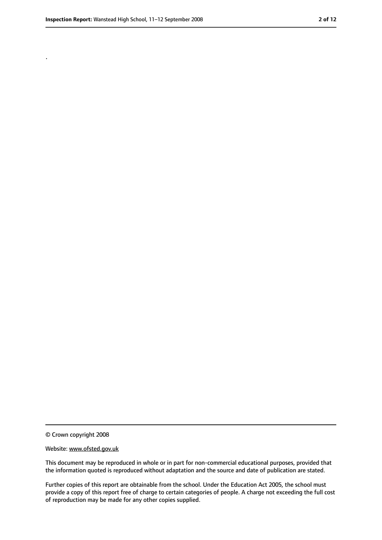.

<sup>©</sup> Crown copyright 2008

Website: www.ofsted.gov.uk

This document may be reproduced in whole or in part for non-commercial educational purposes, provided that the information quoted is reproduced without adaptation and the source and date of publication are stated.

Further copies of this report are obtainable from the school. Under the Education Act 2005, the school must provide a copy of this report free of charge to certain categories of people. A charge not exceeding the full cost of reproduction may be made for any other copies supplied.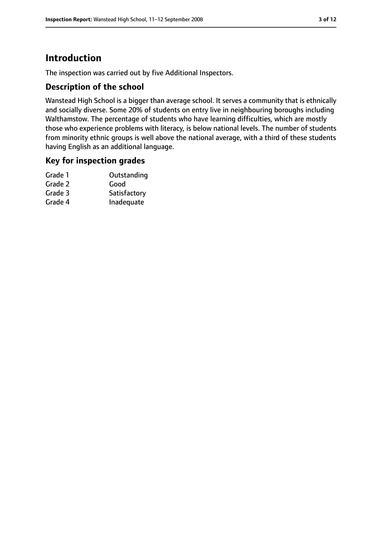### **Introduction**

The inspection was carried out by five Additional Inspectors.

#### **Description of the school**

Wanstead High School is a bigger than average school. It serves a community that is ethnically and socially diverse. Some 20% of students on entry live in neighbouring boroughs including Walthamstow. The percentage of students who have learning difficulties, which are mostly those who experience problems with literacy, is below national levels. The number of students from minority ethnic groups is well above the national average, with a third of these students having English as an additional language.

#### **Key for inspection grades**

| Outstanding  |
|--------------|
| Good         |
| Satisfactory |
| Inadequate   |
|              |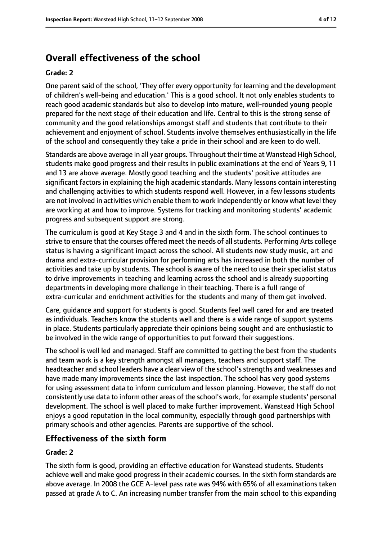### **Overall effectiveness of the school**

#### **Grade: 2**

One parent said of the school, 'They offer every opportunity for learning and the development of children's well-being and education.' This is a good school. It not only enables students to reach good academic standards but also to develop into mature, well-rounded young people prepared for the next stage of their education and life. Central to this is the strong sense of community and the good relationships amongst staff and students that contribute to their achievement and enjoyment of school. Students involve themselves enthusiastically in the life of the school and consequently they take a pride in their school and are keen to do well.

Standards are above average in all year groups. Throughout their time at Wanstead High School, students make good progress and their results in public examinations at the end of Years 9, 11 and 13 are above average. Mostly good teaching and the students' positive attitudes are significant factors in explaining the high academic standards. Many lessons contain interesting and challenging activities to which students respond well. However, in a few lessons students are not involved in activities which enable them to work independently or know what level they are working at and how to improve. Systems for tracking and monitoring students' academic progress and subsequent support are strong.

The curriculum is good at Key Stage 3 and 4 and in the sixth form. The school continues to strive to ensure that the courses offered meet the needs of all students. Performing Arts college status is having a significant impact across the school. All students now study music, art and drama and extra-curricular provision for performing arts has increased in both the number of activities and take up by students. The school is aware of the need to use their specialist status to drive improvements in teaching and learning across the school and is already supporting departments in developing more challenge in their teaching. There is a full range of extra-curricular and enrichment activities for the students and many of them get involved.

Care, guidance and support for students is good. Students feel well cared for and are treated as individuals. Teachers know the students well and there is a wide range of support systems in place. Students particularly appreciate their opinions being sought and are enthusiastic to be involved in the wide range of opportunities to put forward their suggestions.

The school is well led and managed. Staff are committed to getting the best from the students and team work is a key strength amongst all managers, teachers and support staff. The headteacher and school leaders have a clear view of the school's strengths and weaknesses and have made many improvements since the last inspection. The school has very good systems for using assessment data to inform curriculum and lesson planning. However, the staff do not consistently use data to inform other areas of the school's work, for example students' personal development. The school is well placed to make further improvement. Wanstead High School enjoys a good reputation in the local community, especially through good partnerships with primary schools and other agencies. Parents are supportive of the school.

### **Effectiveness of the sixth form**

#### **Grade: 2**

The sixth form is good, providing an effective education for Wanstead students. Students achieve well and make good progress in their academic courses. In the sixth form standards are above average. In 2008 the GCE A-level pass rate was 94% with 65% of all examinations taken passed at grade A to C. An increasing number transfer from the main school to this expanding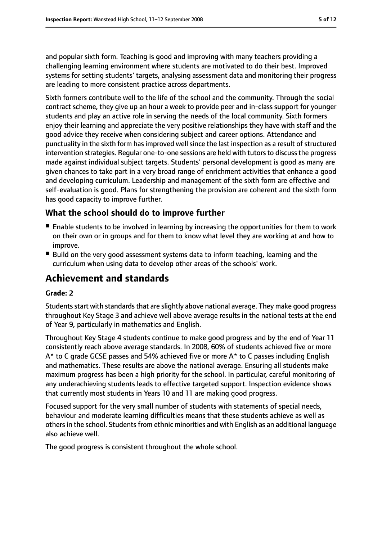and popular sixth form. Teaching is good and improving with many teachers providing a challenging learning environment where students are motivated to do their best. Improved systems for setting students' targets, analysing assessment data and monitoring their progress are leading to more consistent practice across departments.

Sixth formers contribute well to the life of the school and the community. Through the social contract scheme, they give up an hour a week to provide peer and in-class support for younger students and play an active role in serving the needs of the local community. Sixth formers enjoy their learning and appreciate the very positive relationships they have with staff and the good advice they receive when considering subject and career options. Attendance and punctuality in the sixth form has improved well since the last inspection as a result of structured intervention strategies. Regular one-to-one sessions are held with tutors to discuss the progress made against individual subject targets. Students' personal development is good as many are given chances to take part in a very broad range of enrichment activities that enhance a good and developing curriculum. Leadership and management of the sixth form are effective and self-evaluation is good. Plans for strengthening the provision are coherent and the sixth form has good capacity to improve further.

#### **What the school should do to improve further**

- Enable students to be involved in learning by increasing the opportunities for them to work on their own or in groups and for them to know what level they are working at and how to improve.
- Build on the very good assessment systems data to inform teaching, learning and the curriculum when using data to develop other areas of the schools' work.

### **Achievement and standards**

#### **Grade: 2**

Students start with standards that are slightly above national average. They make good progress throughout Key Stage 3 and achieve well above average results in the national tests at the end of Year 9, particularly in mathematics and English.

Throughout Key Stage 4 students continue to make good progress and by the end of Year 11 consistently reach above average standards. In 2008, 60% of students achieved five or more A\* to C grade GCSE passes and 54% achieved five or more A\* to C passes including English and mathematics. These results are above the national average. Ensuring all students make maximum progress has been a high priority for the school. In particular, careful monitoring of any underachieving students leads to effective targeted support. Inspection evidence shows that currently most students in Years 10 and 11 are making good progress.

Focused support for the very small number of students with statements of special needs, behaviour and moderate learning difficulties means that these students achieve as well as others in the school. Students from ethnic minorities and with English as an additional language also achieve well.

The good progress is consistent throughout the whole school.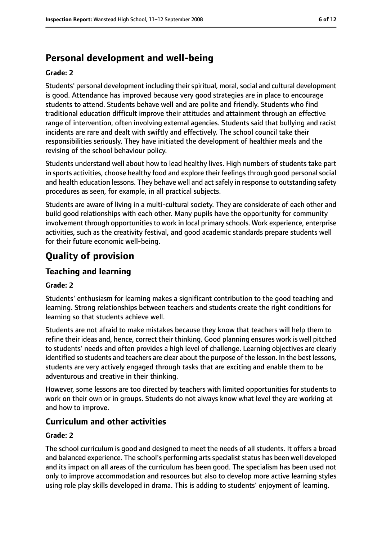### **Personal development and well-being**

#### **Grade: 2**

Students' personal development including their spiritual, moral, social and cultural development is good. Attendance has improved because very good strategies are in place to encourage students to attend. Students behave well and are polite and friendly. Students who find traditional education difficult improve their attitudes and attainment through an effective range of intervention, often involving external agencies. Students said that bullying and racist incidents are rare and dealt with swiftly and effectively. The school council take their responsibilities seriously. They have initiated the development of healthier meals and the revising of the school behaviour policy.

Students understand well about how to lead healthy lives. High numbers of students take part in sports activities, choose healthy food and explore their feelingsthrough good personalsocial and health education lessons. They behave well and act safely in response to outstanding safety procedures as seen, for example, in all practical subjects.

Students are aware of living in a multi-cultural society. They are considerate of each other and build good relationships with each other. Many pupils have the opportunity for community involvement through opportunities to work in local primary schools. Work experience, enterprise activities, such as the creativity festival, and good academic standards prepare students well for their future economic well-being.

### **Quality of provision**

#### **Teaching and learning**

#### **Grade: 2**

Students' enthusiasm for learning makes a significant contribution to the good teaching and learning. Strong relationships between teachers and students create the right conditions for learning so that students achieve well.

Students are not afraid to make mistakes because they know that teachers will help them to refine their ideas and, hence, correct their thinking. Good planning ensures work is well pitched to students' needs and often provides a high level of challenge. Learning objectives are clearly identified so students and teachers are clear about the purpose of the lesson. In the best lessons, students are very actively engaged through tasks that are exciting and enable them to be adventurous and creative in their thinking.

However, some lessons are too directed by teachers with limited opportunities for students to work on their own or in groups. Students do not always know what level they are working at and how to improve.

#### **Curriculum and other activities**

#### **Grade: 2**

The school curriculum is good and designed to meet the needs of all students. It offers a broad and balanced experience. The school's performing arts specialist status has been well developed and its impact on all areas of the curriculum has been good. The specialism has been used not only to improve accommodation and resources but also to develop more active learning styles using role play skills developed in drama. This is adding to students' enjoyment of learning.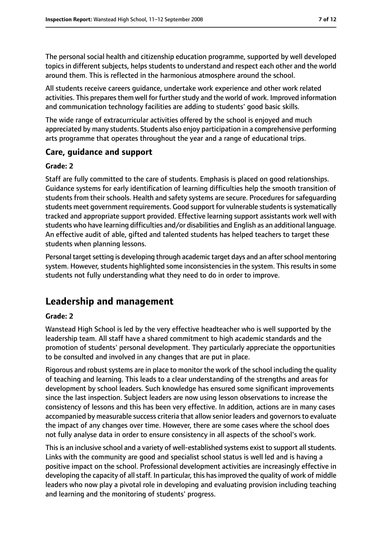The personal social health and citizenship education programme, supported by well developed topics in different subjects, helps students to understand and respect each other and the world around them. This is reflected in the harmonious atmosphere around the school.

All students receive careers guidance, undertake work experience and other work related activities. This prepares them well for further study and the world of work. Improved information and communication technology facilities are adding to students' good basic skills.

The wide range of extracurricular activities offered by the school is enjoyed and much appreciated by many students. Students also enjoy participation in a comprehensive performing arts programme that operates throughout the year and a range of educational trips.

#### **Care, guidance and support**

#### **Grade: 2**

Staff are fully committed to the care of students. Emphasis is placed on good relationships. Guidance systems for early identification of learning difficulties help the smooth transition of students from their schools. Health and safety systems are secure. Procedures for safeguarding students meet government requirements. Good support for vulnerable students is systematically tracked and appropriate support provided. Effective learning support assistants work well with students who have learning difficulties and/or disabilities and English as an additional language. An effective audit of able, gifted and talented students has helped teachers to target these students when planning lessons.

Personal target setting is developing through academic target days and an after school mentoring system. However, students highlighted some inconsistencies in the system. This results in some students not fully understanding what they need to do in order to improve.

### **Leadership and management**

#### **Grade: 2**

Wanstead High School is led by the very effective headteacher who is well supported by the leadership team. All staff have a shared commitment to high academic standards and the promotion of students' personal development. They particularly appreciate the opportunities to be consulted and involved in any changes that are put in place.

Rigorous and robust systems are in place to monitor the work of the school including the quality of teaching and learning. This leads to a clear understanding of the strengths and areas for development by school leaders. Such knowledge has ensured some significant improvements since the last inspection. Subject leaders are now using lesson observations to increase the consistency of lessons and this has been very effective. In addition, actions are in many cases accompanied by measurable success criteria that allow senior leaders and governorsto evaluate the impact of any changes over time. However, there are some cases where the school does not fully analyse data in order to ensure consistency in all aspects of the school's work.

This is an inclusive school and a variety of well-established systems exist to support all students. Links with the community are good and specialist school status is well led and is having a positive impact on the school. Professional development activities are increasingly effective in developing the capacity of all staff. In particular, this has improved the quality of work of middle leaders who now play a pivotal role in developing and evaluating provision including teaching and learning and the monitoring of students' progress.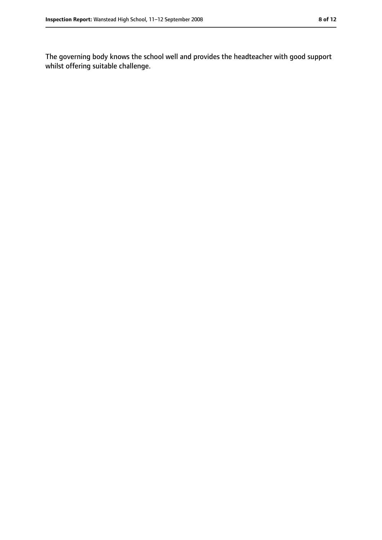The governing body knows the school well and provides the headteacher with good support whilst offering suitable challenge.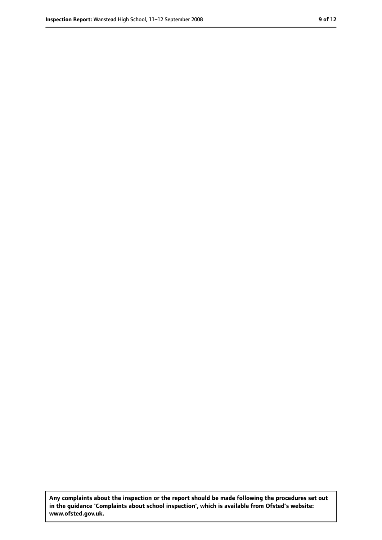**Any complaints about the inspection or the report should be made following the procedures set out in the guidance 'Complaints about school inspection', which is available from Ofsted's website: www.ofsted.gov.uk.**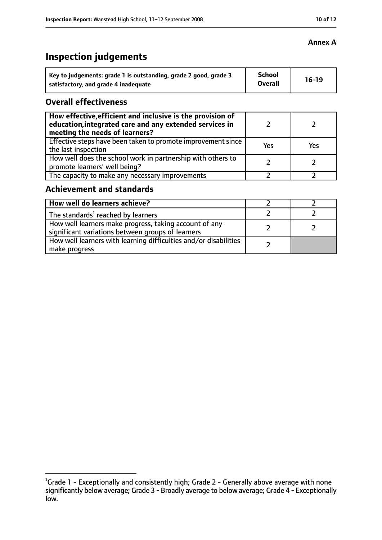### **Inspection judgements**

| Key to judgements: grade 1 is outstanding, grade 2 good, grade 3 | <b>School</b><br><b>Overall</b> | $16-19$ |
|------------------------------------------------------------------|---------------------------------|---------|
| satisfactory, and grade 4 inadequate                             |                                 |         |

#### **Overall effectiveness**

| How effective, efficient and inclusive is the provision of<br>education, integrated care and any extended services in<br>meeting the needs of learners? |     |     |
|---------------------------------------------------------------------------------------------------------------------------------------------------------|-----|-----|
| Effective steps have been taken to promote improvement since<br>the last inspection                                                                     | Yes | Yes |
| How well does the school work in partnership with others to<br>promote learners' well being?                                                            |     |     |
| The capacity to make any necessary improvements                                                                                                         |     |     |

### **Achievement and standards**

| How well do learners achieve?                                                                               |  |
|-------------------------------------------------------------------------------------------------------------|--|
| The standards <sup>1</sup> reached by learners                                                              |  |
| How well learners make progress, taking account of any<br>significant variations between groups of learners |  |
| How well learners with learning difficulties and/or disabilities<br>make progress                           |  |

#### **Annex A**

<sup>&</sup>lt;sup>1</sup>Grade 1 - Exceptionally and consistently high; Grade 2 - Generally above average with none significantly below average; Grade 3 - Broadly average to below average; Grade 4 - Exceptionally low.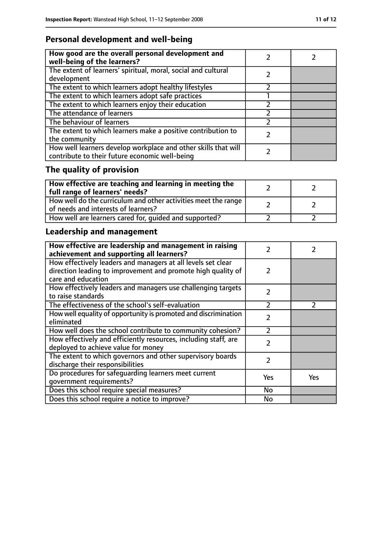### **Personal development and well-being**

| How good are the overall personal development and<br>well-being of the learners?                                 |  |
|------------------------------------------------------------------------------------------------------------------|--|
| The extent of learners' spiritual, moral, social and cultural<br>development                                     |  |
| The extent to which learners adopt healthy lifestyles                                                            |  |
| The extent to which learners adopt safe practices                                                                |  |
| The extent to which learners enjoy their education                                                               |  |
| The attendance of learners                                                                                       |  |
| The behaviour of learners                                                                                        |  |
| The extent to which learners make a positive contribution to<br>the community                                    |  |
| How well learners develop workplace and other skills that will<br>contribute to their future economic well-being |  |

## **The quality of provision**

| $\mid$ How effective are teaching and learning in meeting the<br>full range of learners' needs?       |  |
|-------------------------------------------------------------------------------------------------------|--|
| How well do the curriculum and other activities meet the range<br>of needs and interests of learners? |  |
| How well are learners cared for, quided and supported?                                                |  |

### **Leadership and management**

| How effective are leadership and management in raising<br>achievement and supporting all learners?                           | フ              |               |
|------------------------------------------------------------------------------------------------------------------------------|----------------|---------------|
| How effectively leaders and managers at all levels set clear<br>direction leading to improvement and promote high quality of | 2              |               |
| care and education                                                                                                           |                |               |
| How effectively leaders and managers use challenging targets<br>to raise standards                                           | $\mathcal{P}$  |               |
| The effectiveness of the school's self-evaluation                                                                            | $\overline{2}$ | $\mathcal{P}$ |
| How well equality of opportunity is promoted and discrimination<br>eliminated                                                | 2              |               |
| How well does the school contribute to community cohesion?                                                                   | フ              |               |
| How effectively and efficiently resources, including staff, are<br>deployed to achieve value for money                       | $\mathcal{P}$  |               |
| The extent to which governors and other supervisory boards<br>discharge their responsibilities                               | $\mathcal{P}$  |               |
| Do procedures for safequarding learners meet current<br>qovernment requirements?                                             | Yes            | Yes           |
| Does this school require special measures?                                                                                   | <b>No</b>      |               |
| Does this school require a notice to improve?                                                                                | No             |               |